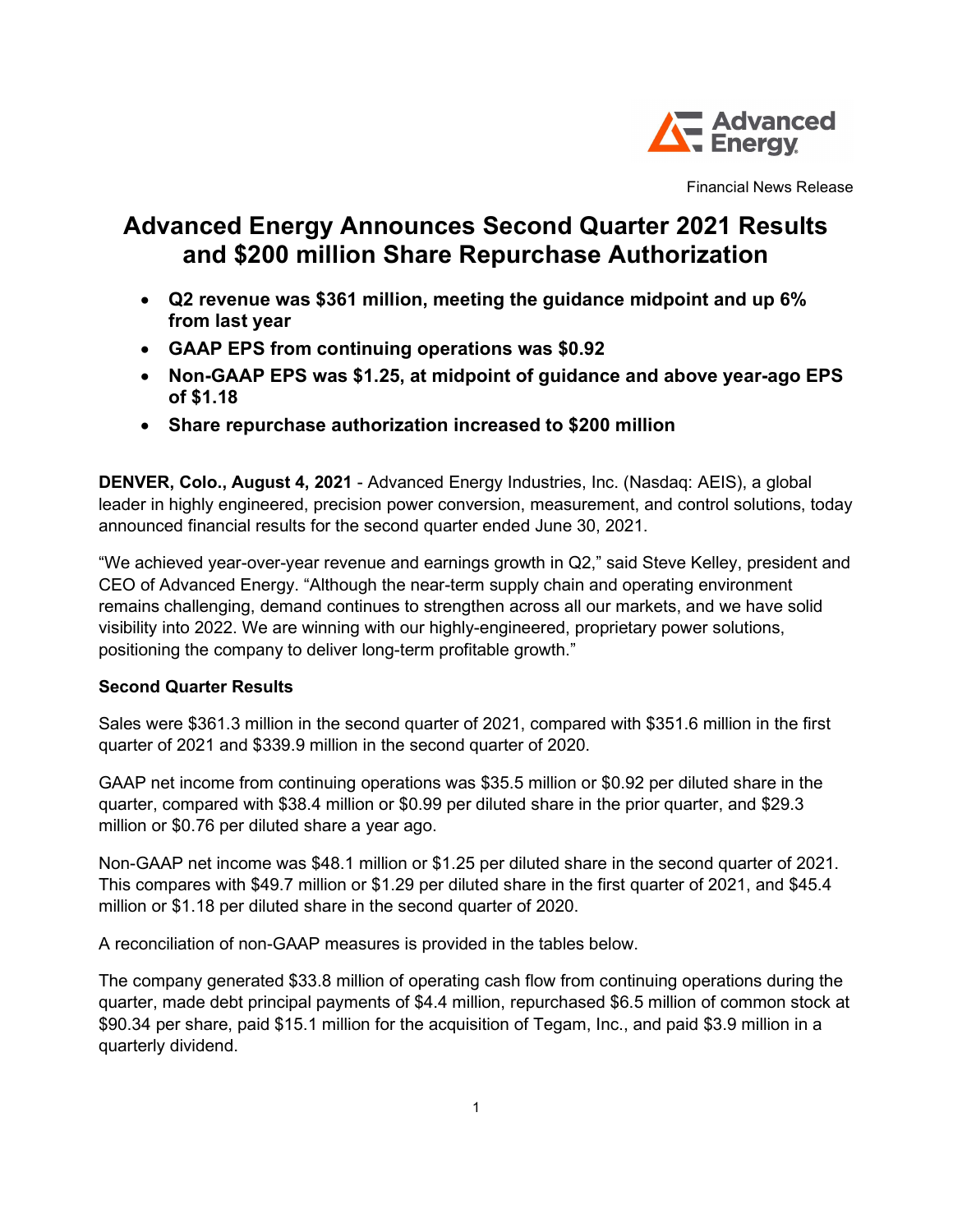

Financial News Release

# Advanced Energy Announces Second Quarter 2021 Results and \$200 million Share Repurchase Authorization

- Q2 revenue was \$361 million, meeting the guidance midpoint and up 6% from last year
- GAAP EPS from continuing operations was \$0.92
- Non-GAAP EPS was \$1.25, at midpoint of guidance and above year-ago EPS of \$1.18
- Share repurchase authorization increased to \$200 million

DENVER, Colo., August 4, 2021 - Advanced Energy Industries, Inc. (Nasdaq: AEIS), a global leader in highly engineered, precision power conversion, measurement, and control solutions, today announced financial results for the second quarter ended June 30, 2021.

"We achieved year-over-year revenue and earnings growth in Q2," said Steve Kelley, president and CEO of Advanced Energy. "Although the near-term supply chain and operating environment remains challenging, demand continues to strengthen across all our markets, and we have solid visibility into 2022. We are winning with our highly-engineered, proprietary power solutions, positioning the company to deliver long-term profitable growth."

## Second Quarter Results

Sales were \$361.3 million in the second quarter of 2021, compared with \$351.6 million in the first quarter of 2021 and \$339.9 million in the second quarter of 2020.

GAAP net income from continuing operations was \$35.5 million or \$0.92 per diluted share in the quarter, compared with \$38.4 million or \$0.99 per diluted share in the prior quarter, and \$29.3 million or \$0.76 per diluted share a year ago.

Non-GAAP net income was \$48.1 million or \$1.25 per diluted share in the second quarter of 2021. This compares with \$49.7 million or \$1.29 per diluted share in the first quarter of 2021, and \$45.4 million or \$1.18 per diluted share in the second quarter of 2020.

A reconciliation of non-GAAP measures is provided in the tables below.

The company generated \$33.8 million of operating cash flow from continuing operations during the quarter, made debt principal payments of \$4.4 million, repurchased \$6.5 million of common stock at \$90.34 per share, paid \$15.1 million for the acquisition of Tegam, Inc., and paid \$3.9 million in a quarterly dividend.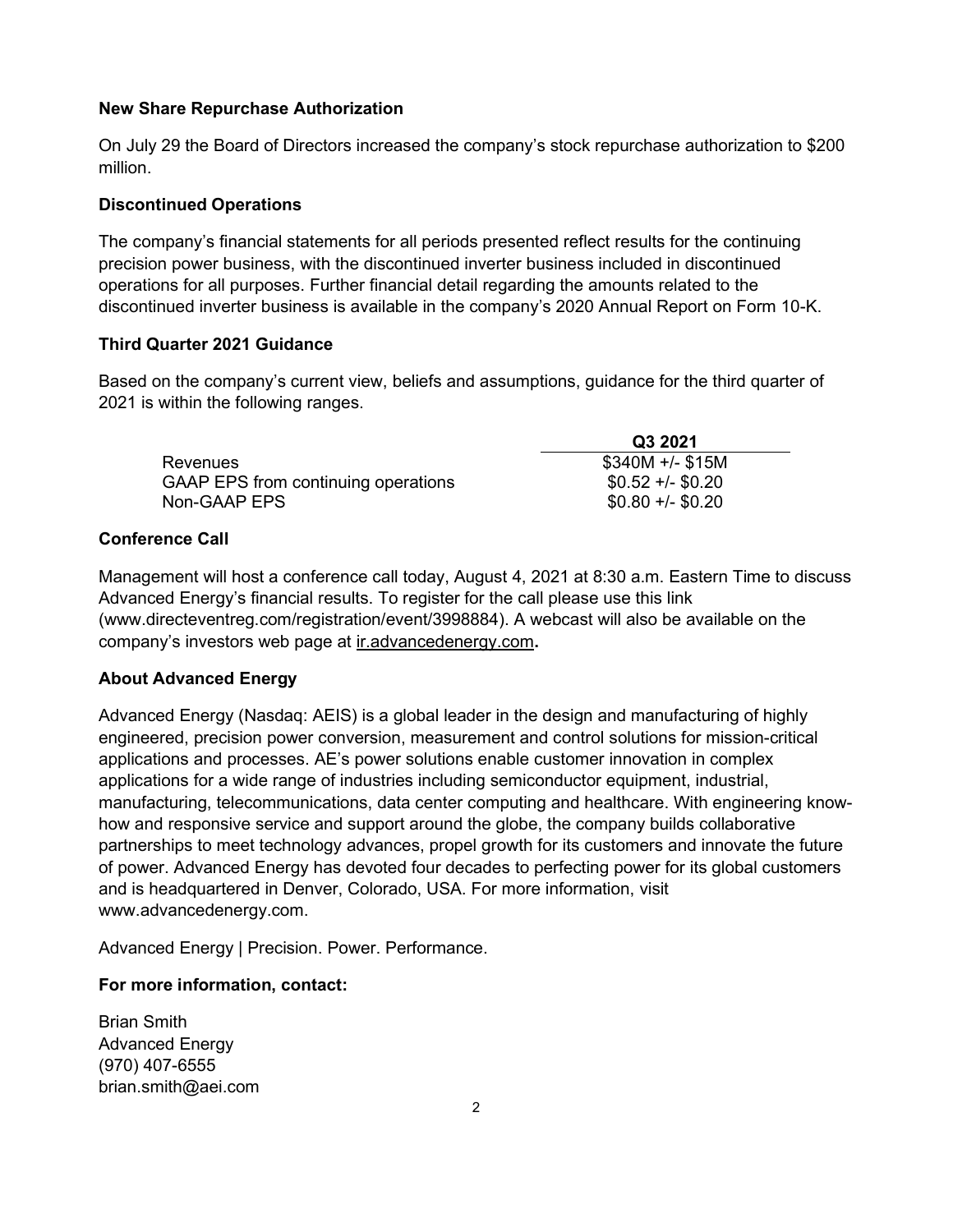## New Share Repurchase Authorization

On July 29 the Board of Directors increased the company's stock repurchase authorization to \$200 million.

#### Discontinued Operations

The company's financial statements for all periods presented reflect results for the continuing precision power business, with the discontinued inverter business included in discontinued operations for all purposes. Further financial detail regarding the amounts related to the discontinued inverter business is available in the company's 2020 Annual Report on Form 10-K.

## Third Quarter 2021 Guidance

Based on the company's current view, beliefs and assumptions, guidance for the third quarter of 2021 is within the following ranges.

|                                     | Q3 2021           |
|-------------------------------------|-------------------|
| Revenues                            | $$340M +/- $15M$  |
| GAAP EPS from continuing operations | $$0.52 +/- $0.20$ |
| Non-GAAP EPS                        | $$0.80 +/- $0.20$ |

## Conference Call

Management will host a conference call today, August 4, 2021 at 8:30 a.m. Eastern Time to discuss Advanced Energy's financial results. To register for the call please use this link (www.directeventreg.com/registration/event/3998884). A webcast will also be available on the company's investors web page at ir.advancedenergy.com.

## About Advanced Energy

Advanced Energy (Nasdaq: AEIS) is a global leader in the design and manufacturing of highly engineered, precision power conversion, measurement and control solutions for mission-critical applications and processes. AE's power solutions enable customer innovation in complex applications for a wide range of industries including semiconductor equipment, industrial, manufacturing, telecommunications, data center computing and healthcare. With engineering knowhow and responsive service and support around the globe, the company builds collaborative partnerships to meet technology advances, propel growth for its customers and innovate the future of power. Advanced Energy has devoted four decades to perfecting power for its global customers and is headquartered in Denver, Colorado, USA. For more information, visit www.advancedenergy.com.

Advanced Energy | Precision. Power. Performance.

## For more information, contact:

Brian Smith Advanced Energy (970) 407-6555 brian.smith@aei.com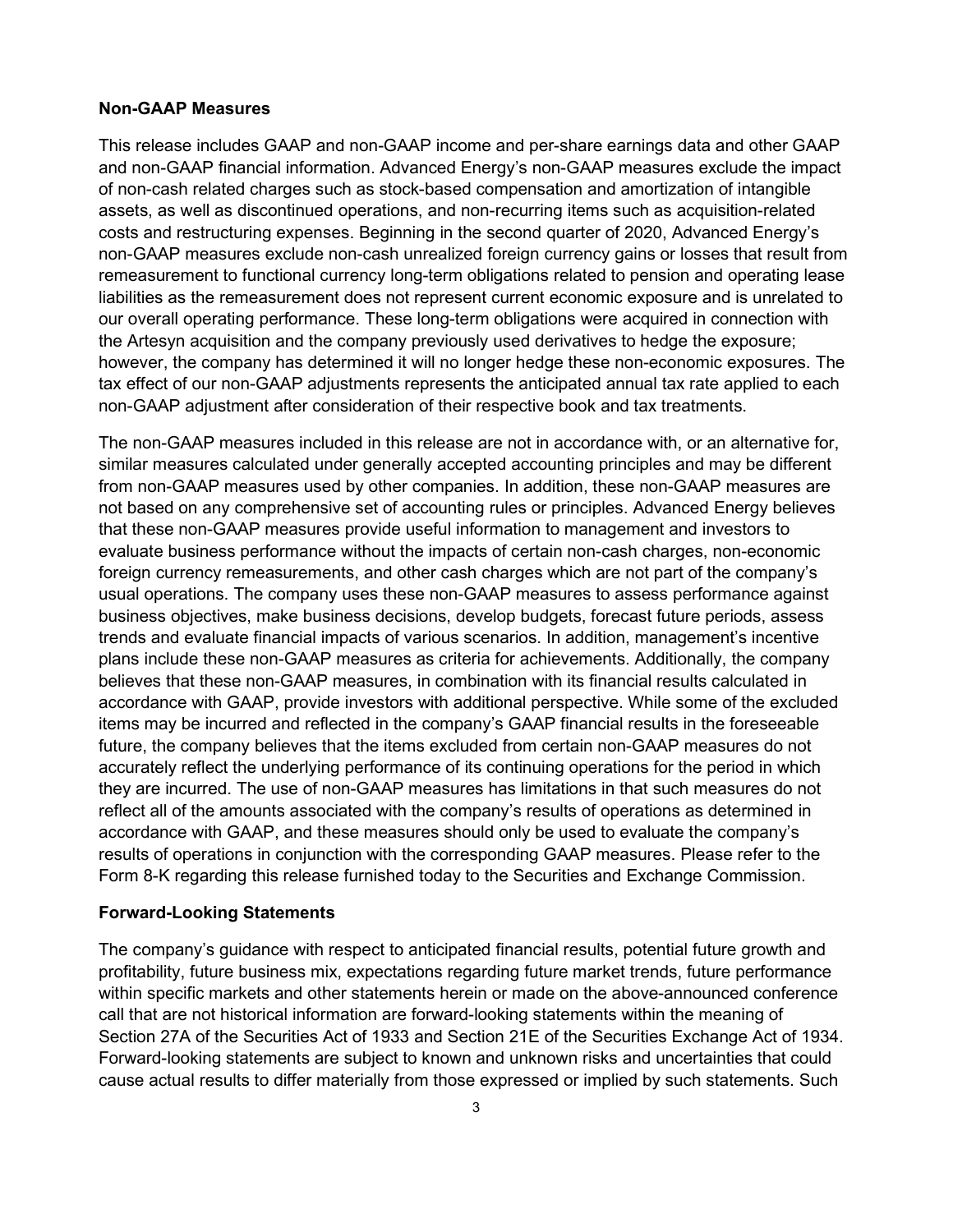#### Non-GAAP Measures

This release includes GAAP and non-GAAP income and per-share earnings data and other GAAP and non-GAAP financial information. Advanced Energy's non-GAAP measures exclude the impact of non-cash related charges such as stock-based compensation and amortization of intangible assets, as well as discontinued operations, and non-recurring items such as acquisition-related costs and restructuring expenses. Beginning in the second quarter of 2020, Advanced Energy's non-GAAP measures exclude non-cash unrealized foreign currency gains or losses that result from remeasurement to functional currency long-term obligations related to pension and operating lease liabilities as the remeasurement does not represent current economic exposure and is unrelated to our overall operating performance. These long-term obligations were acquired in connection with the Artesyn acquisition and the company previously used derivatives to hedge the exposure; however, the company has determined it will no longer hedge these non-economic exposures. The tax effect of our non-GAAP adjustments represents the anticipated annual tax rate applied to each non-GAAP adjustment after consideration of their respective book and tax treatments.

The non-GAAP measures included in this release are not in accordance with, or an alternative for, similar measures calculated under generally accepted accounting principles and may be different from non-GAAP measures used by other companies. In addition, these non-GAAP measures are not based on any comprehensive set of accounting rules or principles. Advanced Energy believes that these non-GAAP measures provide useful information to management and investors to evaluate business performance without the impacts of certain non-cash charges, non-economic foreign currency remeasurements, and other cash charges which are not part of the company's usual operations. The company uses these non-GAAP measures to assess performance against business objectives, make business decisions, develop budgets, forecast future periods, assess trends and evaluate financial impacts of various scenarios. In addition, management's incentive plans include these non-GAAP measures as criteria for achievements. Additionally, the company believes that these non-GAAP measures, in combination with its financial results calculated in accordance with GAAP, provide investors with additional perspective. While some of the excluded items may be incurred and reflected in the company's GAAP financial results in the foreseeable future, the company believes that the items excluded from certain non-GAAP measures do not accurately reflect the underlying performance of its continuing operations for the period in which they are incurred. The use of non-GAAP measures has limitations in that such measures do not reflect all of the amounts associated with the company's results of operations as determined in accordance with GAAP, and these measures should only be used to evaluate the company's results of operations in conjunction with the corresponding GAAP measures. Please refer to the Form 8-K regarding this release furnished today to the Securities and Exchange Commission.

#### Forward-Looking Statements

The company's guidance with respect to anticipated financial results, potential future growth and profitability, future business mix, expectations regarding future market trends, future performance within specific markets and other statements herein or made on the above-announced conference call that are not historical information are forward-looking statements within the meaning of Section 27A of the Securities Act of 1933 and Section 21E of the Securities Exchange Act of 1934. Forward-looking statements are subject to known and unknown risks and uncertainties that could cause actual results to differ materially from those expressed or implied by such statements. Such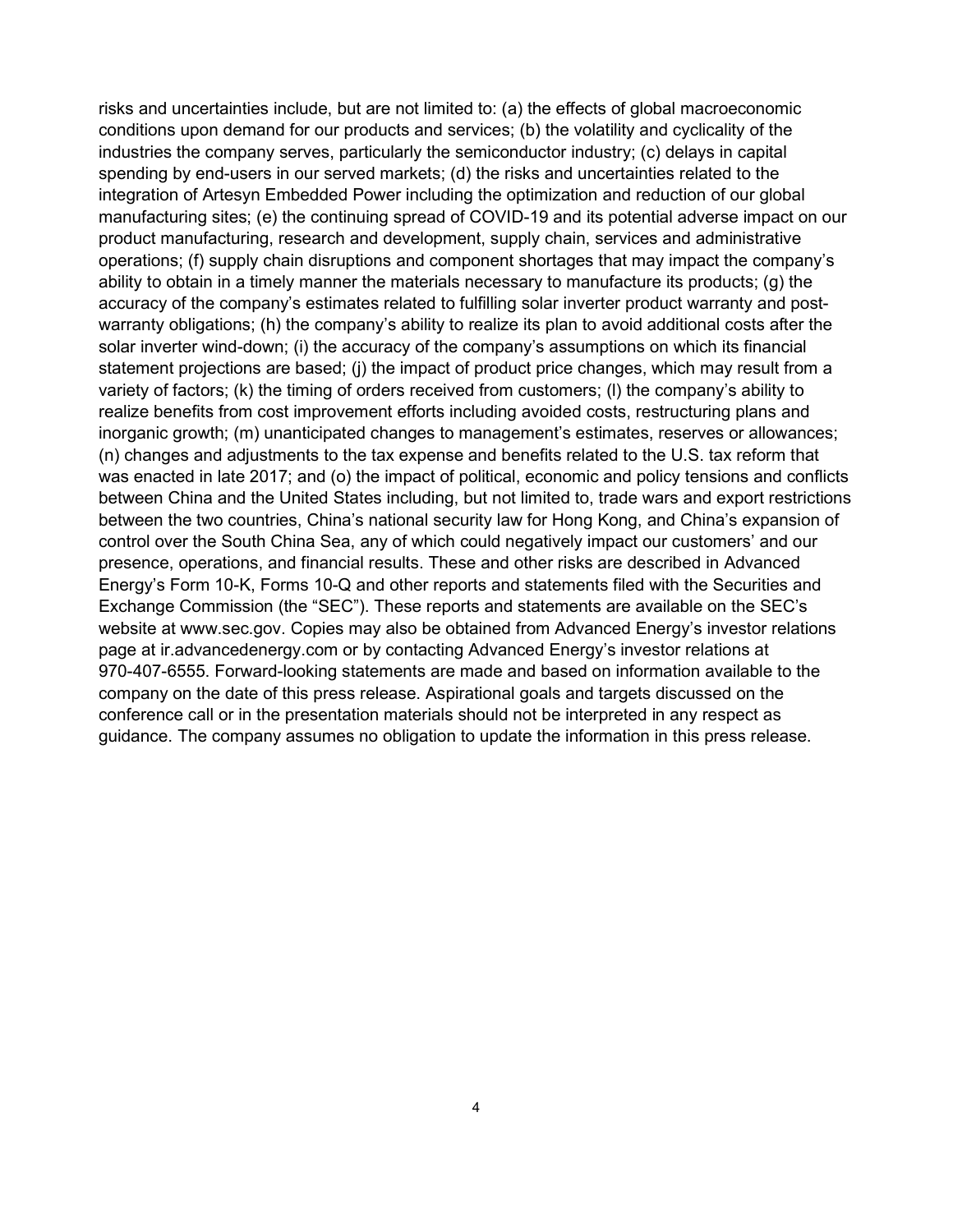risks and uncertainties include, but are not limited to: (a) the effects of global macroeconomic conditions upon demand for our products and services; (b) the volatility and cyclicality of the industries the company serves, particularly the semiconductor industry; (c) delays in capital spending by end-users in our served markets; (d) the risks and uncertainties related to the integration of Artesyn Embedded Power including the optimization and reduction of our global manufacturing sites; (e) the continuing spread of COVID-19 and its potential adverse impact on our product manufacturing, research and development, supply chain, services and administrative operations; (f) supply chain disruptions and component shortages that may impact the company's ability to obtain in a timely manner the materials necessary to manufacture its products; (g) the accuracy of the company's estimates related to fulfilling solar inverter product warranty and postwarranty obligations; (h) the company's ability to realize its plan to avoid additional costs after the solar inverter wind-down; (i) the accuracy of the company's assumptions on which its financial statement projections are based; (i) the impact of product price changes, which may result from a variety of factors; (k) the timing of orders received from customers; (l) the company's ability to realize benefits from cost improvement efforts including avoided costs, restructuring plans and inorganic growth; (m) unanticipated changes to management's estimates, reserves or allowances; (n) changes and adjustments to the tax expense and benefits related to the U.S. tax reform that was enacted in late 2017; and (o) the impact of political, economic and policy tensions and conflicts between China and the United States including, but not limited to, trade wars and export restrictions between the two countries, China's national security law for Hong Kong, and China's expansion of control over the South China Sea, any of which could negatively impact our customers' and our presence, operations, and financial results. These and other risks are described in Advanced Energy's Form 10-K, Forms 10-Q and other reports and statements filed with the Securities and Exchange Commission (the "SEC"). These reports and statements are available on the SEC's website at www.sec.gov. Copies may also be obtained from Advanced Energy's investor relations page at ir.advancedenergy.com or by contacting Advanced Energy's investor relations at 970-407-6555. Forward-looking statements are made and based on information available to the company on the date of this press release. Aspirational goals and targets discussed on the conference call or in the presentation materials should not be interpreted in any respect as guidance. The company assumes no obligation to update the information in this press release.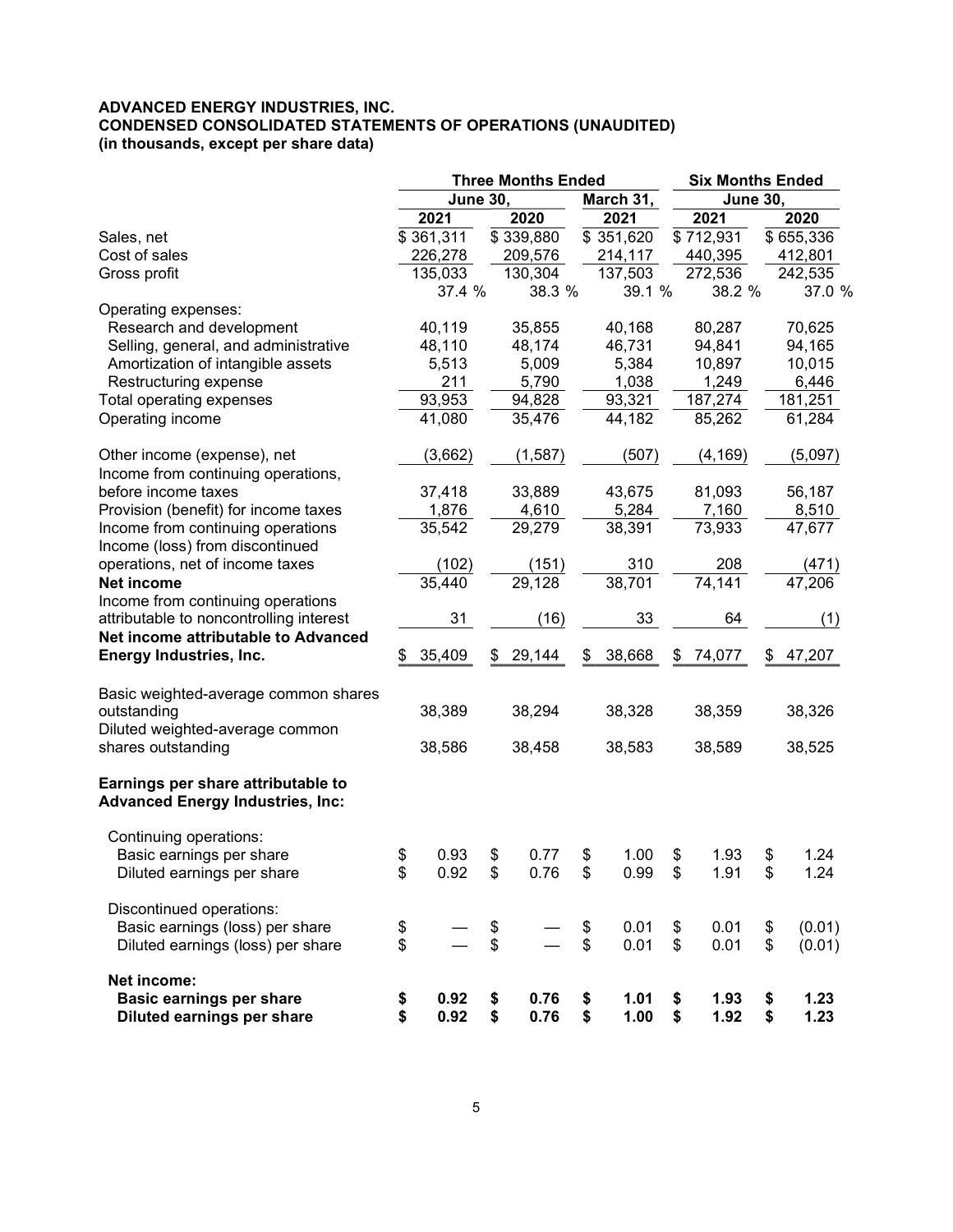#### ADVANCED ENERGY INDUSTRIES, INC. CONDENSED CONSOLIDATED STATEMENTS OF OPERATIONS (UNAUDITED) (in thousands, except per share data)

|                                                                               |           |                 | <b>Three Months Ended</b> |           |                              |           |    | <b>Six Months Ended</b> |    |           |
|-------------------------------------------------------------------------------|-----------|-----------------|---------------------------|-----------|------------------------------|-----------|----|-------------------------|----|-----------|
|                                                                               |           | <b>June 30,</b> |                           |           | <b>June 30,</b><br>March 31, |           |    |                         |    |           |
|                                                                               | 2021      |                 |                           | 2020      |                              | 2021      |    | 2021                    |    | 2020      |
| Sales, net                                                                    | \$361,311 |                 |                           | \$339,880 |                              | \$351,620 |    | \$712,931               |    | \$655,336 |
| Cost of sales                                                                 |           | 226,278         |                           | 209,576   |                              | 214,117   |    | 440,395                 |    | 412,801   |
| Gross profit                                                                  |           | 135,033         |                           | 130,304   |                              | 137,503   |    | 272,536                 |    | 242,535   |
|                                                                               |           | 37.4 %          |                           | 38.3 %    |                              | 39.1 %    |    | 38.2 %                  |    | 37.0 %    |
| Operating expenses:                                                           |           |                 |                           |           |                              |           |    |                         |    |           |
| Research and development                                                      |           | 40,119          |                           | 35,855    |                              | 40,168    |    | 80,287                  |    | 70,625    |
| Selling, general, and administrative                                          |           | 48,110          |                           | 48,174    |                              | 46,731    |    | 94,841                  |    | 94,165    |
| Amortization of intangible assets                                             |           | 5,513           |                           | 5,009     |                              | 5,384     |    | 10,897                  |    | 10,015    |
| Restructuring expense                                                         |           | 211             |                           | 5,790     |                              | 1,038     |    | 1,249                   |    | 6,446     |
| Total operating expenses                                                      |           | 93,953          |                           | 94,828    |                              | 93,321    |    | 187,274                 |    | 181,251   |
| Operating income                                                              |           | 41,080          |                           | 35,476    |                              | 44,182    |    | 85,262                  |    | 61,284    |
|                                                                               |           |                 |                           |           |                              |           |    |                         |    |           |
| Other income (expense), net                                                   |           | (3,662)         |                           | (1, 587)  |                              | (507)     |    | (4, 169)                |    | (5,097)   |
| Income from continuing operations,                                            |           |                 |                           |           |                              |           |    |                         |    |           |
| before income taxes                                                           |           | 37,418          |                           | 33,889    |                              | 43,675    |    | 81,093                  |    | 56,187    |
| Provision (benefit) for income taxes                                          |           | 1,876           |                           | 4,610     |                              | 5,284     |    | 7,160                   |    | 8,510     |
| Income from continuing operations                                             |           | 35,542          |                           | 29,279    |                              | 38,391    |    | 73,933                  |    | 47,677    |
| Income (loss) from discontinued                                               |           |                 |                           |           |                              |           |    |                         |    |           |
| operations, net of income taxes                                               |           | (102)           |                           | (151)     |                              | 310       |    | 208                     |    | (471)     |
| Net income                                                                    |           | 35,440          |                           | 29,128    |                              | 38,701    |    | 74,141                  |    | 47,206    |
| Income from continuing operations                                             |           |                 |                           |           |                              |           |    |                         |    |           |
| attributable to noncontrolling interest                                       |           | 31              |                           | (16)      |                              | 33        |    | 64                      |    | (1)       |
| Net income attributable to Advanced                                           |           |                 |                           |           |                              |           |    |                         |    |           |
| Energy Industries, Inc.                                                       | \$        | 35,409          | \$                        | 29,144    | \$                           | 38,668    | \$ | 74,077                  | \$ | 47,207    |
|                                                                               |           |                 |                           |           |                              |           |    |                         |    |           |
| Basic weighted-average common shares                                          |           |                 |                           |           |                              |           |    |                         |    |           |
| outstanding                                                                   |           | 38,389          |                           | 38,294    |                              | 38,328    |    | 38,359                  |    | 38,326    |
| Diluted weighted-average common                                               |           |                 |                           |           |                              |           |    |                         |    |           |
| shares outstanding                                                            |           | 38,586          |                           | 38,458    |                              | 38,583    |    | 38,589                  |    | 38,525    |
|                                                                               |           |                 |                           |           |                              |           |    |                         |    |           |
|                                                                               |           |                 |                           |           |                              |           |    |                         |    |           |
| Earnings per share attributable to<br><b>Advanced Energy Industries, Inc:</b> |           |                 |                           |           |                              |           |    |                         |    |           |
|                                                                               |           |                 |                           |           |                              |           |    |                         |    |           |
| Continuing operations:                                                        |           |                 |                           |           |                              |           |    |                         |    |           |
| Basic earnings per share                                                      | \$        | 0.93            | \$                        | 0.77      | \$                           | 1.00      | \$ | 1.93                    | \$ | 1.24      |
|                                                                               | \$        | 0.92            | \$                        | 0.76      | \$                           | 0.99      | \$ | 1.91                    | \$ | 1.24      |
| Diluted earnings per share                                                    |           |                 |                           |           |                              |           |    |                         |    |           |
| Discontinued operations:                                                      |           |                 |                           |           |                              |           |    |                         |    |           |
| Basic earnings (loss) per share                                               |           |                 |                           |           | \$                           | 0.01      | \$ | 0.01                    | \$ | (0.01)    |
| Diluted earnings (loss) per share                                             | \$<br>\$  |                 | \$<br>\$                  |           | \$                           | 0.01      | \$ | 0.01                    | \$ | (0.01)    |
|                                                                               |           |                 |                           |           |                              |           |    |                         |    |           |
| Net income:                                                                   |           |                 |                           |           |                              |           |    |                         |    |           |
| <b>Basic earnings per share</b>                                               | \$        | 0.92            | \$                        | 0.76      | \$                           | 1.01      | \$ | 1.93                    | \$ | 1.23      |
| Diluted earnings per share                                                    | \$        | 0.92            | \$                        | 0.76      | \$                           | 1.00      | \$ | 1.92                    | \$ | 1.23      |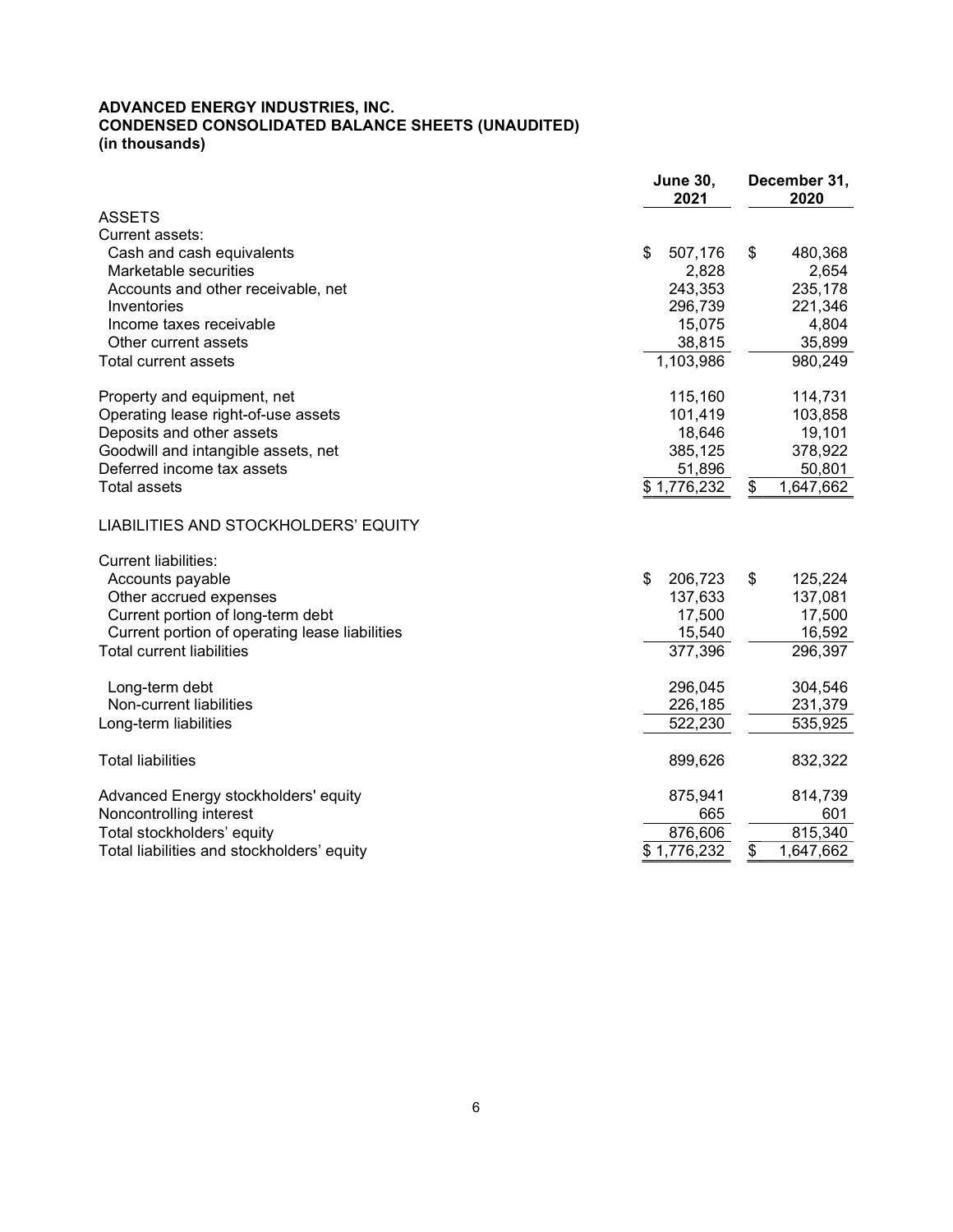#### ADVANCED ENERGY INDUSTRIES, INC. CONDENSED CONSOLIDATED BALANCE SHEETS (UNAUDITED) (in thousands)

|                                                | <b>June 30,</b><br>2021 | December 31,<br>2020 |  |  |
|------------------------------------------------|-------------------------|----------------------|--|--|
| <b>ASSETS</b>                                  |                         |                      |  |  |
| Current assets:                                |                         |                      |  |  |
| Cash and cash equivalents                      | \$<br>507,176           | \$<br>480,368        |  |  |
| Marketable securities                          | 2,828                   | 2,654                |  |  |
| Accounts and other receivable, net             | 243,353                 | 235,178              |  |  |
| Inventories                                    | 296,739                 | 221,346              |  |  |
| Income taxes receivable                        | 15,075                  | 4,804                |  |  |
| Other current assets                           | 38,815                  | 35,899               |  |  |
| <b>Total current assets</b>                    | 1,103,986               | 980,249              |  |  |
| Property and equipment, net                    | 115,160                 | 114,731              |  |  |
| Operating lease right-of-use assets            | 101,419                 | 103,858              |  |  |
| Deposits and other assets                      | 18,646                  | 19,101               |  |  |
| Goodwill and intangible assets, net            | 385,125                 | 378,922              |  |  |
| Deferred income tax assets                     | 51,896                  | 50,801               |  |  |
| <b>Total assets</b>                            | \$1,776,232             | 1,647,662<br>\$      |  |  |
| LIABILITIES AND STOCKHOLDERS' EQUITY           |                         |                      |  |  |
| <b>Current liabilities:</b>                    |                         |                      |  |  |
| Accounts payable                               | \$<br>206,723           | \$<br>125,224        |  |  |
| Other accrued expenses                         | 137,633                 | 137,081              |  |  |
| Current portion of long-term debt              | 17,500                  | 17,500               |  |  |
| Current portion of operating lease liabilities | 15,540                  | 16,592               |  |  |
| <b>Total current liabilities</b>               | 377,396                 | 296,397              |  |  |
| Long-term debt                                 | 296,045                 | 304,546              |  |  |
| Non-current liabilities                        | 226,185                 | 231,379              |  |  |
| Long-term liabilities                          | 522,230                 | 535,925              |  |  |
| <b>Total liabilities</b>                       | 899,626                 | 832,322              |  |  |
| Advanced Energy stockholders' equity           | 875,941                 | 814,739              |  |  |
| Noncontrolling interest                        | 665                     | 601                  |  |  |
| Total stockholders' equity                     | 876,606                 | 815,340              |  |  |
| Total liabilities and stockholders' equity     | \$1,776,232             | \$<br>1,647,662      |  |  |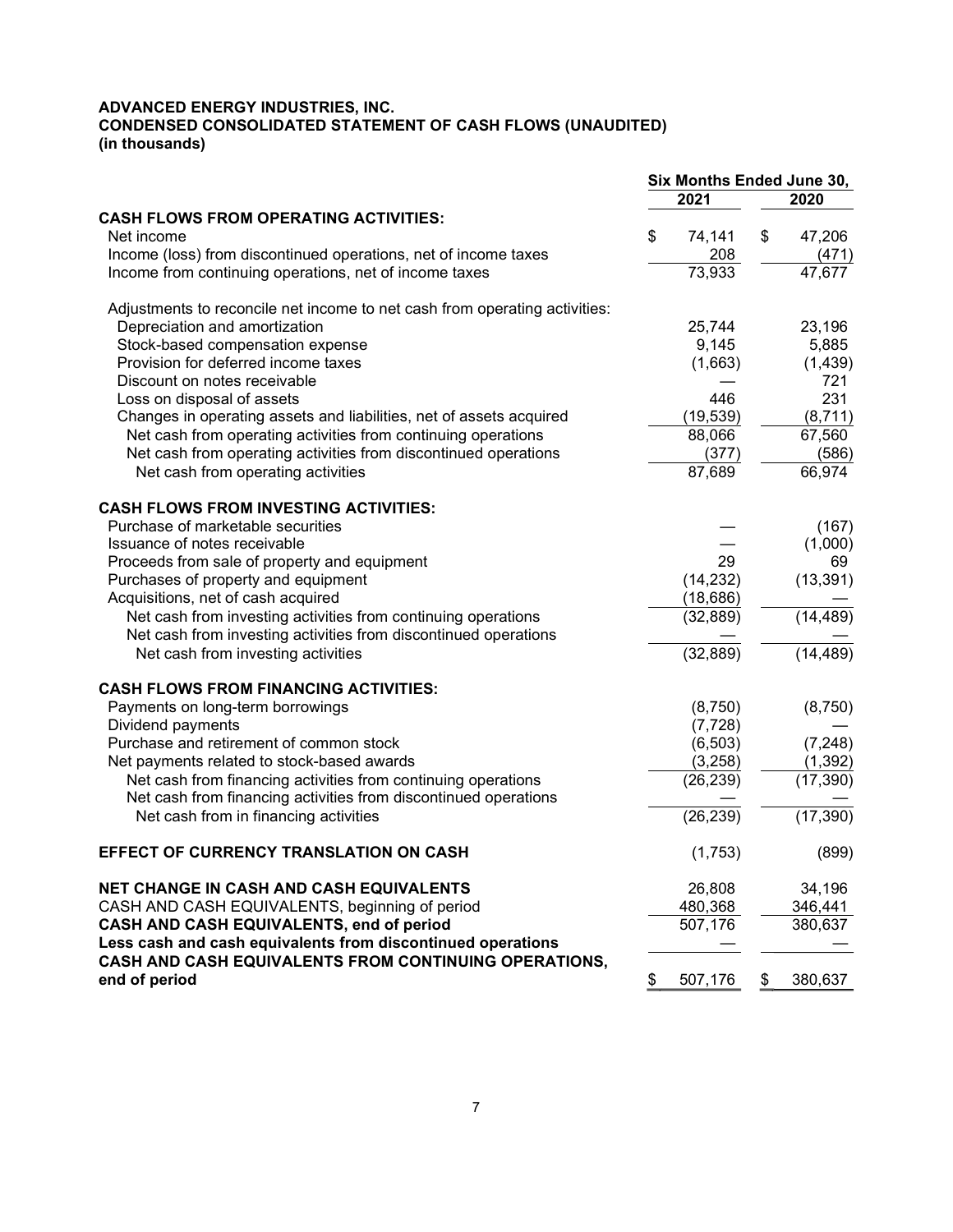#### ADVANCED ENERGY INDUSTRIES, INC. CONDENSED CONSOLIDATED STATEMENT OF CASH FLOWS (UNAUDITED) (in thousands)

|                                                                            | Six Months Ended June 30, |           |    |           |  |  |  |  |  |
|----------------------------------------------------------------------------|---------------------------|-----------|----|-----------|--|--|--|--|--|
|                                                                            |                           | 2021      |    | 2020      |  |  |  |  |  |
| <b>CASH FLOWS FROM OPERATING ACTIVITIES:</b>                               |                           |           |    |           |  |  |  |  |  |
| Net income                                                                 | \$                        | 74,141    | \$ | 47,206    |  |  |  |  |  |
| Income (loss) from discontinued operations, net of income taxes            |                           | 208       |    | (471)     |  |  |  |  |  |
| Income from continuing operations, net of income taxes                     |                           | 73,933    |    | 47,677    |  |  |  |  |  |
| Adjustments to reconcile net income to net cash from operating activities: |                           |           |    |           |  |  |  |  |  |
| Depreciation and amortization                                              |                           | 25,744    |    | 23,196    |  |  |  |  |  |
| Stock-based compensation expense                                           |                           | 9,145     |    | 5,885     |  |  |  |  |  |
| Provision for deferred income taxes                                        |                           | (1,663)   |    | (1, 439)  |  |  |  |  |  |
| Discount on notes receivable                                               |                           |           |    | 721       |  |  |  |  |  |
| Loss on disposal of assets                                                 |                           | 446       |    | 231       |  |  |  |  |  |
| Changes in operating assets and liabilities, net of assets acquired        |                           | (19, 539) |    | (8,711)   |  |  |  |  |  |
| Net cash from operating activities from continuing operations              |                           | 88,066    |    | 67,560    |  |  |  |  |  |
| Net cash from operating activities from discontinued operations            |                           | (377)     |    | (586)     |  |  |  |  |  |
| Net cash from operating activities                                         |                           | 87,689    |    | 66,974    |  |  |  |  |  |
| <b>CASH FLOWS FROM INVESTING ACTIVITIES:</b>                               |                           |           |    |           |  |  |  |  |  |
| Purchase of marketable securities                                          |                           |           |    | (167)     |  |  |  |  |  |
| Issuance of notes receivable                                               |                           |           |    | (1,000)   |  |  |  |  |  |
| Proceeds from sale of property and equipment                               |                           | 29        |    | 69        |  |  |  |  |  |
| Purchases of property and equipment                                        |                           | (14, 232) |    | (13, 391) |  |  |  |  |  |
| Acquisitions, net of cash acquired                                         |                           | (18, 686) |    |           |  |  |  |  |  |
| Net cash from investing activities from continuing operations              |                           | (32, 889) |    | (14, 489) |  |  |  |  |  |
| Net cash from investing activities from discontinued operations            |                           |           |    |           |  |  |  |  |  |
| Net cash from investing activities                                         |                           | (32, 889) |    | (14, 489) |  |  |  |  |  |
| <b>CASH FLOWS FROM FINANCING ACTIVITIES:</b>                               |                           |           |    |           |  |  |  |  |  |
| Payments on long-term borrowings                                           |                           | (8,750)   |    | (8,750)   |  |  |  |  |  |
| Dividend payments                                                          |                           | (7, 728)  |    |           |  |  |  |  |  |
| Purchase and retirement of common stock                                    |                           | (6, 503)  |    | (7, 248)  |  |  |  |  |  |
| Net payments related to stock-based awards                                 |                           | (3,258)   |    | (1, 392)  |  |  |  |  |  |
| Net cash from financing activities from continuing operations              |                           | (26, 239) |    | (17, 390) |  |  |  |  |  |
| Net cash from financing activities from discontinued operations            |                           |           |    |           |  |  |  |  |  |
| Net cash from in financing activities                                      |                           | (26, 239) |    | (17, 390) |  |  |  |  |  |
| EFFECT OF CURRENCY TRANSLATION ON CASH                                     |                           | (1,753)   |    | (899)     |  |  |  |  |  |
| <b>NET CHANGE IN CASH AND CASH EQUIVALENTS</b>                             |                           | 26,808    |    | 34,196    |  |  |  |  |  |
| CASH AND CASH EQUIVALENTS, beginning of period                             |                           | 480,368   |    | 346,441   |  |  |  |  |  |
| CASH AND CASH EQUIVALENTS, end of period                                   |                           | 507,176   |    | 380,637   |  |  |  |  |  |
| Less cash and cash equivalents from discontinued operations                |                           |           |    |           |  |  |  |  |  |
| CASH AND CASH EQUIVALENTS FROM CONTINUING OPERATIONS,<br>end of period     | \$                        | 507,176   | \$ | 380,637   |  |  |  |  |  |
|                                                                            |                           |           |    |           |  |  |  |  |  |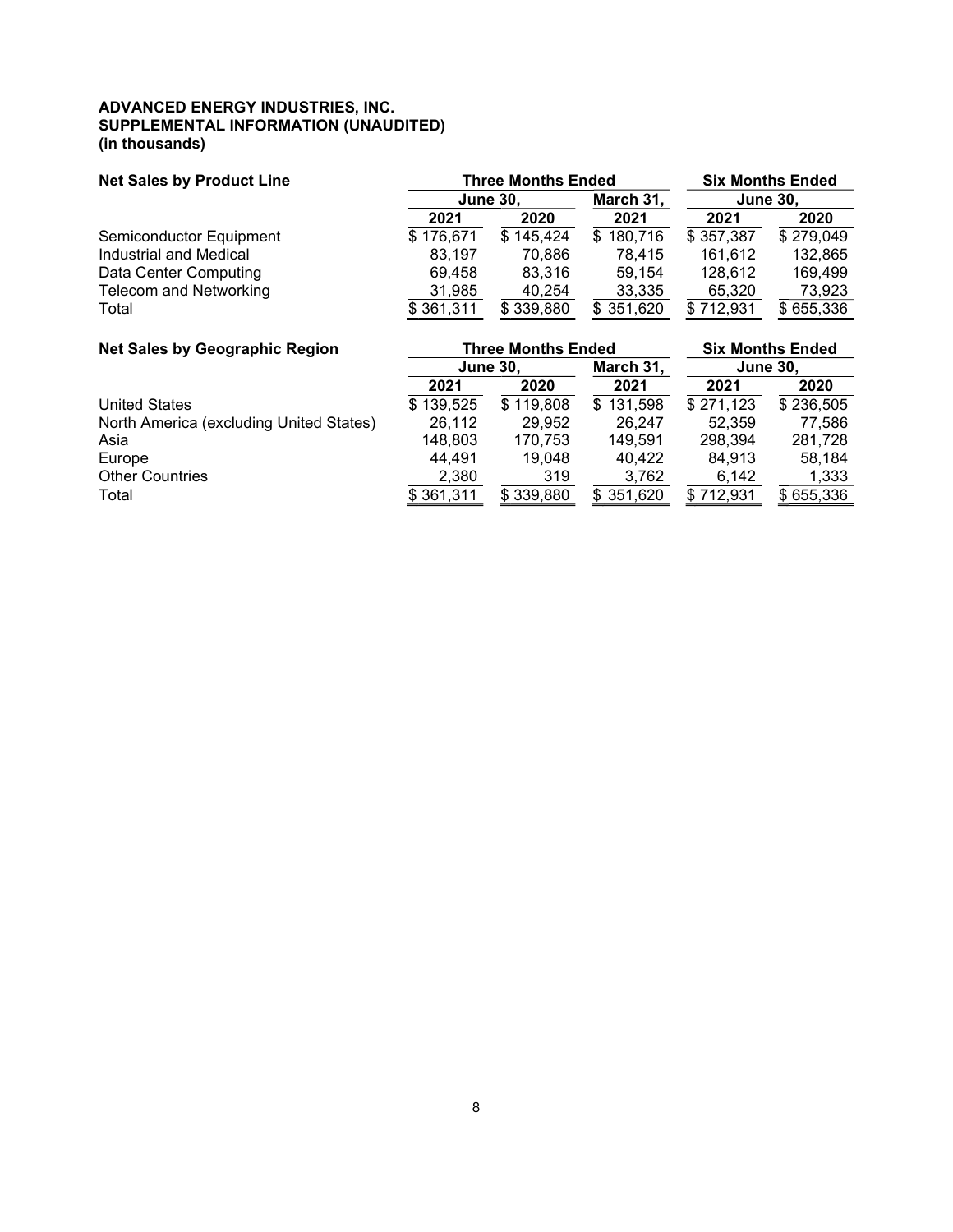#### ADVANCED ENERGY INDUSTRIES, INC. SUPPLEMENTAL INFORMATION (UNAUDITED) (in thousands)

| <b>Net Sales by Product Line</b> | <b>Three Months Ended</b> | <b>Six Months Ended</b> |                |           |           |  |                 |
|----------------------------------|---------------------------|-------------------------|----------------|-----------|-----------|--|-----------------|
|                                  |                           | <b>June 30,</b>         |                | March 31, |           |  | <b>June 30.</b> |
|                                  | 2021                      | 2020                    | 2021           | 2021      | 2020      |  |                 |
| Semiconductor Equipment          | \$176,671                 | \$145,424               | 180,716<br>\$. | \$357,387 | \$279,049 |  |                 |
| Industrial and Medical           | 83.197                    | 70.886                  | 78,415         | 161,612   | 132,865   |  |                 |
| Data Center Computing            | 69.458                    | 83.316                  | 59.154         | 128,612   | 169.499   |  |                 |
| <b>Telecom and Networking</b>    | 31,985                    | 40,254                  | 33,335         | 65,320    | 73,923    |  |                 |
| Total                            | \$361,311                 | \$339,880               | \$351,620      | 712.931   | \$655,336 |  |                 |

| <b>Net Sales by Geographic Region</b>   |                 | <b>Three Months Ended</b> | <b>Six Months Ended</b> |                 |           |  |
|-----------------------------------------|-----------------|---------------------------|-------------------------|-----------------|-----------|--|
|                                         | <b>June 30.</b> |                           | March 31,               | <b>June 30,</b> |           |  |
|                                         | 2021            | 2020                      | 2021                    | 2021            | 2020      |  |
| <b>United States</b>                    | \$139,525       | \$119,808                 | \$131,598               | \$271,123       | \$236,505 |  |
| North America (excluding United States) | 26,112          | 29.952                    | 26.247                  | 52.359          | 77,586    |  |
| Asia                                    | 148.803         | 170,753                   | 149.591                 | 298.394         | 281,728   |  |
| Europe                                  | 44,491          | 19.048                    | 40.422                  | 84.913          | 58.184    |  |
| <b>Other Countries</b>                  | 2,380           | 319                       | 3,762                   | 6,142           | 1,333     |  |
| Total                                   | \$361,311       | \$339,880                 | \$351,620               | \$712,931       | \$655,336 |  |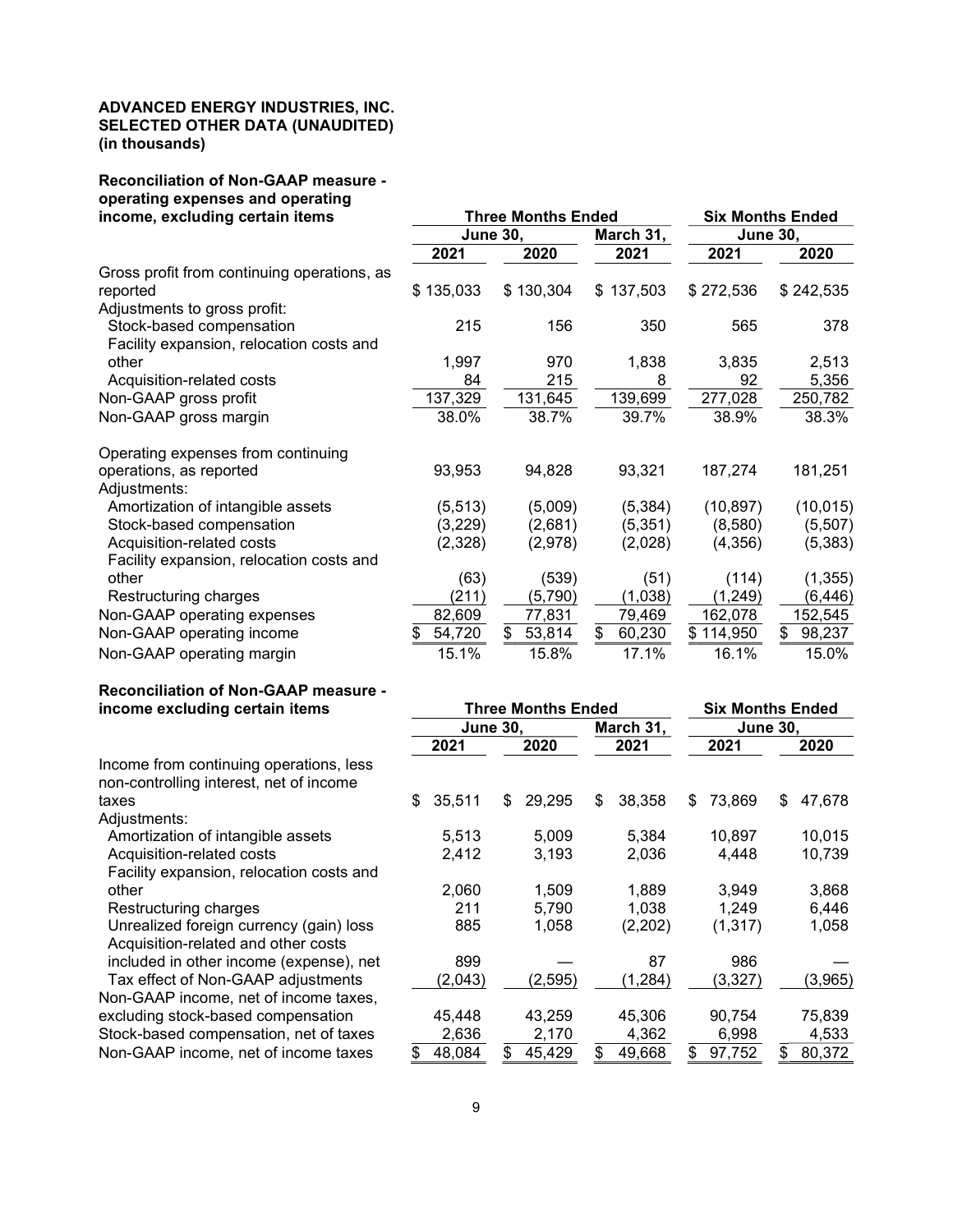#### ADVANCED ENERGY INDUSTRIES, INC. SELECTED OTHER DATA (UNAUDITED) (in thousands)

## Reconciliation of Non-GAAP measure operating expenses and operating

| income, excluding certain items             |                 | <b>Three Months Ended</b> | <b>Six Months Ended</b> |                 |              |  |  |
|---------------------------------------------|-----------------|---------------------------|-------------------------|-----------------|--------------|--|--|
|                                             | <b>June 30,</b> |                           | March 31,               | <b>June 30,</b> |              |  |  |
|                                             | 2021            | 2020                      | 2021                    | 2021            | 2020         |  |  |
| Gross profit from continuing operations, as |                 |                           |                         |                 |              |  |  |
| reported                                    | \$135,033       | \$130,304                 | \$137,503               | \$272,536       | \$242,535    |  |  |
| Adjustments to gross profit:                |                 |                           |                         |                 |              |  |  |
| Stock-based compensation                    | 215             | 156                       | 350                     | 565             | 378          |  |  |
| Facility expansion, relocation costs and    |                 |                           |                         |                 |              |  |  |
| other                                       | 1,997           | 970                       | 1,838                   | 3,835           | 2,513        |  |  |
| Acquisition-related costs                   | 84              | 215                       | 8                       | 92              | 5,356        |  |  |
| Non-GAAP gross profit                       | 137,329         | 131,645                   | 139,699                 | 277,028         | 250,782      |  |  |
| Non-GAAP gross margin                       | 38.0%           | 38.7%                     | 39.7%                   | 38.9%           | 38.3%        |  |  |
| Operating expenses from continuing          |                 |                           |                         |                 |              |  |  |
| operations, as reported                     | 93,953          | 94,828                    | 93,321                  | 187,274         | 181,251      |  |  |
| Adjustments:                                |                 |                           |                         |                 |              |  |  |
| Amortization of intangible assets           | (5, 513)        | (5,009)                   | (5, 384)                | (10, 897)       | (10, 015)    |  |  |
| Stock-based compensation                    | (3,229)         | (2,681)                   | (5,351)                 | (8,580)         | (5,507)      |  |  |
| Acquisition-related costs                   | (2,328)         | (2,978)                   | (2,028)                 | (4,356)         | (5, 383)     |  |  |
| Facility expansion, relocation costs and    |                 |                           |                         |                 |              |  |  |
| other                                       | (63)            | (539)                     | (51)                    | (114)           | (1, 355)     |  |  |
| Restructuring charges                       | (211)           | (5,790)                   | (1,038)                 | (1,249)         | (6,446)      |  |  |
| Non-GAAP operating expenses                 | 82,609          | 77,831                    | 79,469                  | 162,078         | 152,545      |  |  |
| Non-GAAP operating income                   | 54,720<br>S     | \$<br>53,814              | \$<br>60,230            | \$114,950       | 98,237<br>\$ |  |  |
| Non-GAAP operating margin                   | 15.1%           | 15.8%                     | 17.1%                   | 16.1%           | 15.0%        |  |  |

# Reconciliation of Non-GAAP measure -<br>income excluding certain items

| income excluding certain items           |                 |    | <b>Three Months Ended</b> | <b>Six Months Ended</b> |                 |    |         |    |         |
|------------------------------------------|-----------------|----|---------------------------|-------------------------|-----------------|----|---------|----|---------|
|                                          | <b>June 30,</b> |    |                           | March 31,               | <b>June 30,</b> |    |         |    |         |
|                                          | 2021            |    | 2020                      |                         | 2021            |    | 2021    |    | 2020    |
| Income from continuing operations, less  |                 |    |                           |                         |                 |    |         |    |         |
| non-controlling interest, net of income  |                 |    |                           |                         |                 |    |         |    |         |
| taxes                                    | \$<br>35,511    | S  | 29,295                    | \$                      | 38,358          | S  | 73,869  | S  | 47,678  |
| Adjustments:                             |                 |    |                           |                         |                 |    |         |    |         |
| Amortization of intangible assets        | 5,513           |    | 5,009                     |                         | 5,384           |    | 10,897  |    | 10,015  |
| Acquisition-related costs                | 2,412           |    | 3,193                     |                         | 2,036           |    | 4,448   |    | 10,739  |
| Facility expansion, relocation costs and |                 |    |                           |                         |                 |    |         |    |         |
| other                                    | 2.060           |    | 1,509                     |                         | 1.889           |    | 3,949   |    | 3,868   |
| Restructuring charges                    | 211             |    | 5,790                     |                         | 1,038           |    | 1,249   |    | 6,446   |
| Unrealized foreign currency (gain) loss  | 885             |    | 1,058                     |                         | (2,202)         |    | (1,317) |    | 1,058   |
| Acquisition-related and other costs      |                 |    |                           |                         |                 |    |         |    |         |
| included in other income (expense), net  | 899             |    |                           |                         | 87              |    | 986     |    |         |
| Tax effect of Non-GAAP adjustments       | (2,043)         |    | (2, 595)                  |                         | (1, 284)        |    | (3,327) |    | (3,965) |
| Non-GAAP income, net of income taxes,    |                 |    |                           |                         |                 |    |         |    |         |
| excluding stock-based compensation       | 45,448          |    | 43,259                    |                         | 45,306          |    | 90,754  |    | 75,839  |
| Stock-based compensation, net of taxes   | 2,636           |    | 2,170                     |                         | 4,362           |    | 6,998   |    | 4,533   |
| Non-GAAP income, net of income taxes     | 48,084          | \$ | 45,429                    |                         | 49,668          | \$ | 97,752  | S. | 80,372  |
|                                          |                 |    |                           |                         |                 |    |         |    |         |